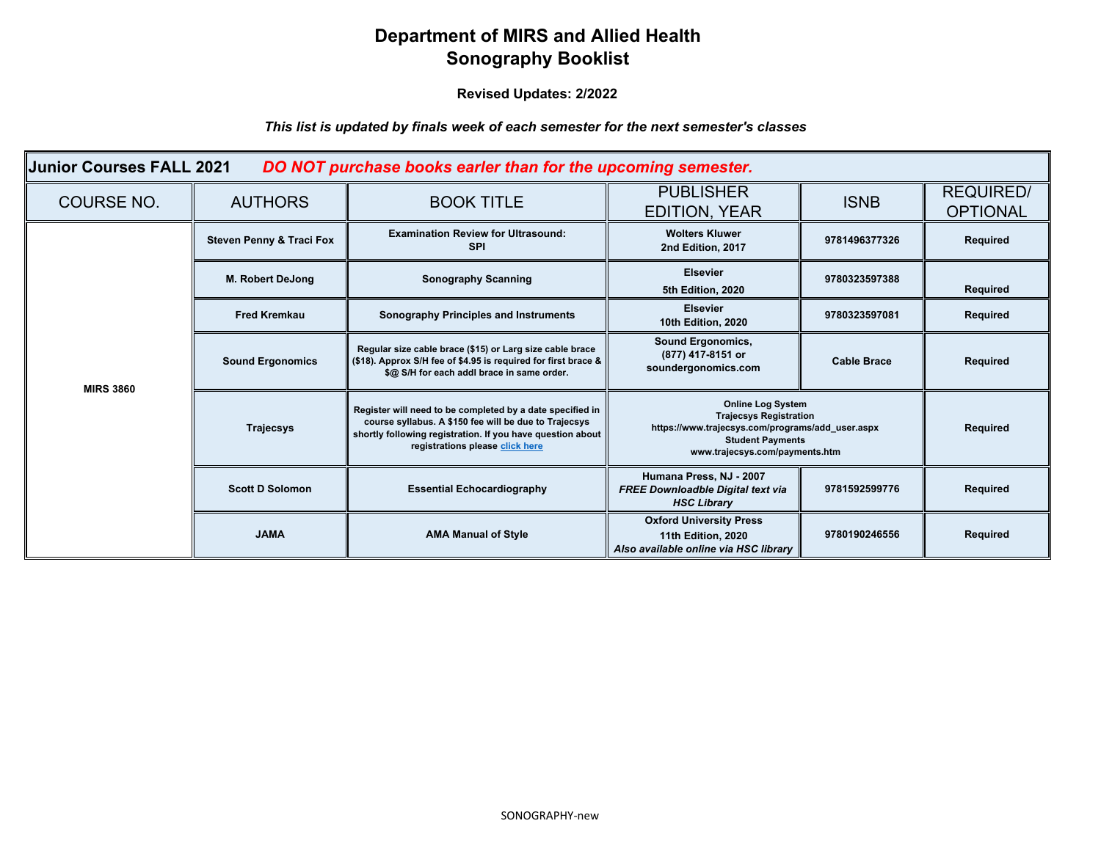## **Department of MIRS and Allied Health Sonography Booklist**

**Revised Updates: 2/2022**

*This list is updated by finals week of each semester for the next semester's classes*

| Junior Courses FALL 2021<br>DO NOT purchase books earler than for the upcoming semester. |                                     |                                                                                                                                                                                                                     |                                                                                                                                                                            |                    |                                     |
|------------------------------------------------------------------------------------------|-------------------------------------|---------------------------------------------------------------------------------------------------------------------------------------------------------------------------------------------------------------------|----------------------------------------------------------------------------------------------------------------------------------------------------------------------------|--------------------|-------------------------------------|
| <b>COURSE NO.</b>                                                                        | <b>AUTHORS</b>                      | <b>BOOK TITLE</b>                                                                                                                                                                                                   | <b>PUBLISHER</b><br><b>EDITION, YEAR</b>                                                                                                                                   | <b>ISNB</b>        | <b>REQUIRED/</b><br><b>OPTIONAL</b> |
| <b>MIRS 3860</b>                                                                         | <b>Steven Penny &amp; Traci Fox</b> | <b>Examination Review for Ultrasound:</b><br><b>SPI</b>                                                                                                                                                             | <b>Wolters Kluwer</b><br>2nd Edition, 2017                                                                                                                                 | 9781496377326      | Required                            |
|                                                                                          | <b>M. Robert DeJong</b>             | <b>Sonography Scanning</b>                                                                                                                                                                                          | <b>Elsevier</b><br>5th Edition, 2020                                                                                                                                       | 9780323597388      | Required                            |
|                                                                                          | <b>Fred Kremkau</b>                 | <b>Sonography Principles and Instruments</b>                                                                                                                                                                        | <b>Elsevier</b><br>10th Edition, 2020                                                                                                                                      | 9780323597081      | Required                            |
|                                                                                          | <b>Sound Ergonomics</b>             | Regular size cable brace (\$15) or Larg size cable brace<br>(\$18). Approx S/H fee of \$4.95 is required for first brace &<br>\$@ S/H for each addl brace in same order.                                            | <b>Sound Ergonomics,</b><br>(877) 417-8151 or<br>soundergonomics.com                                                                                                       | <b>Cable Brace</b> | Required                            |
|                                                                                          | <b>Trajecsys</b>                    | Register will need to be completed by a date specified in<br>course syllabus. A \$150 fee will be due to Trajecsys<br>shortly following registration. If you have question about<br>registrations please click here | <b>Online Log System</b><br><b>Trajecsys Registration</b><br>https://www.trajecsys.com/programs/add_user.aspx<br><b>Student Payments</b><br>www.trajecsys.com/payments.htm |                    | Required                            |
|                                                                                          | <b>Scott D Solomon</b>              | <b>Essential Echocardiography</b>                                                                                                                                                                                   | Humana Press, NJ - 2007<br><b>FREE Downloadble Digital text via</b><br><b>HSC Library</b>                                                                                  | 9781592599776      | <b>Required</b>                     |
|                                                                                          | <b>JAMA</b>                         | <b>AMA Manual of Style</b>                                                                                                                                                                                          | <b>Oxford University Press</b><br>11th Edition, 2020<br>Also available online via HSC library                                                                              | 9780190246556      | Required                            |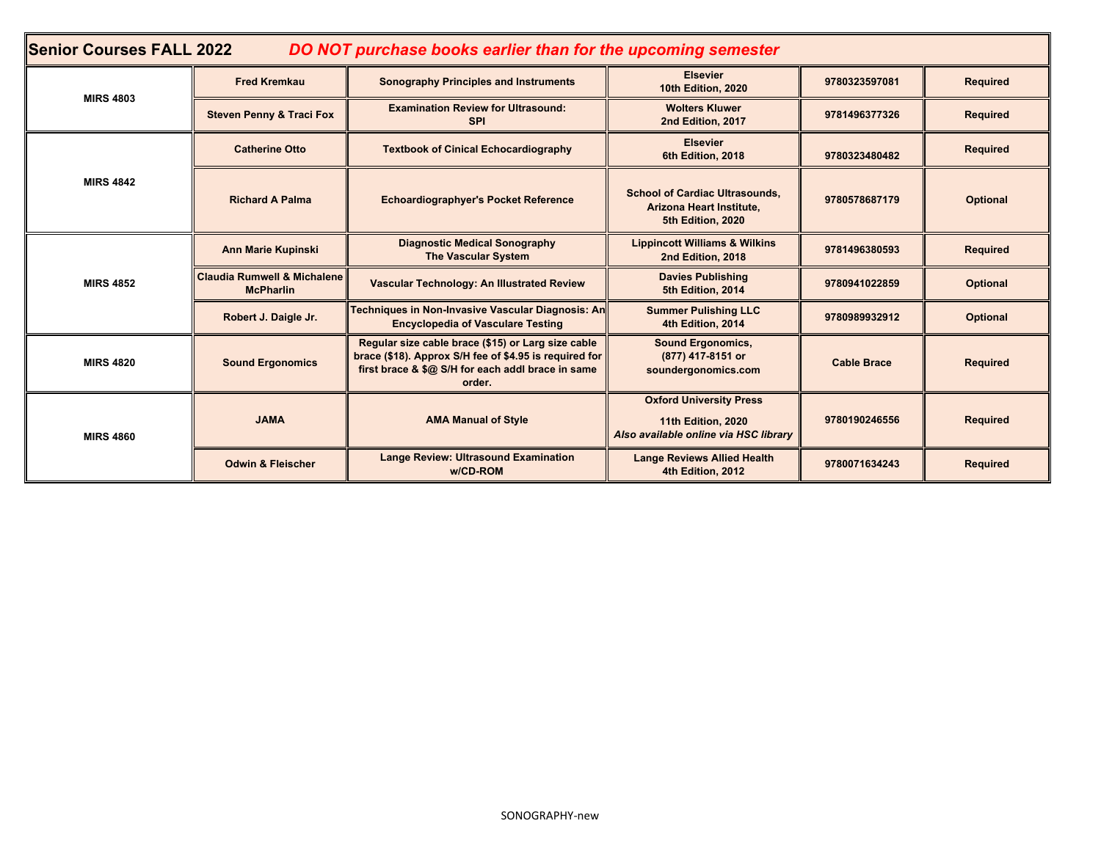| <b>Senior Courses FALL 2022</b><br>DO NOT purchase books earlier than for the upcoming semester |                                                            |                                                                                                                                                                             |                                                                                               |                    |                 |
|-------------------------------------------------------------------------------------------------|------------------------------------------------------------|-----------------------------------------------------------------------------------------------------------------------------------------------------------------------------|-----------------------------------------------------------------------------------------------|--------------------|-----------------|
| <b>MIRS 4803</b>                                                                                | <b>Fred Kremkau</b>                                        | <b>Sonography Principles and Instruments</b>                                                                                                                                | <b>Elsevier</b><br>10th Edition, 2020                                                         | 9780323597081      | <b>Required</b> |
|                                                                                                 | <b>Steven Penny &amp; Traci Fox</b>                        | <b>Examination Review for Ultrasound:</b><br><b>SPI</b>                                                                                                                     | <b>Wolters Kluwer</b><br>2nd Edition, 2017                                                    | 9781496377326      | <b>Required</b> |
| <b>MIRS 4842</b>                                                                                | <b>Catherine Otto</b>                                      | <b>Textbook of Cinical Echocardiography</b>                                                                                                                                 | <b>Elsevier</b><br>6th Edition, 2018                                                          | 9780323480482      | <b>Required</b> |
|                                                                                                 | <b>Richard A Palma</b>                                     | <b>Echoardiographyer's Pocket Reference</b>                                                                                                                                 | <b>School of Cardiac Ultrasounds,</b><br>Arizona Heart Institute,<br>5th Edition, 2020        | 9780578687179      | Optional        |
| <b>MIRS 4852</b>                                                                                | <b>Ann Marie Kupinski</b>                                  | <b>Diagnostic Medical Sonography</b><br><b>The Vascular System</b>                                                                                                          | <b>Lippincott Williams &amp; Wilkins</b><br>2nd Edition, 2018                                 | 9781496380593      | <b>Required</b> |
|                                                                                                 | <b>Claudia Rumwell &amp; Michalene</b><br><b>McPharlin</b> | Vascular Technology: An Illustrated Review                                                                                                                                  | <b>Davies Publishing</b><br>5th Edition, 2014                                                 | 9780941022859      | <b>Optional</b> |
|                                                                                                 | Robert J. Daigle Jr.                                       | Techniques in Non-Invasive Vascular Diagnosis: An<br><b>Encyclopedia of Vasculare Testing</b>                                                                               | <b>Summer Pulishing LLC</b><br>4th Edition, 2014                                              | 9780989932912      | <b>Optional</b> |
| <b>MIRS 4820</b>                                                                                | <b>Sound Ergonomics</b>                                    | Regular size cable brace (\$15) or Larg size cable<br>brace (\$18). Approx S/H fee of \$4.95 is required for<br>first brace & \$@ S/H for each addl brace in same<br>order. | <b>Sound Ergonomics,</b><br>(877) 417-8151 or<br>soundergonomics.com                          | <b>Cable Brace</b> | <b>Required</b> |
| <b>MIRS 4860</b>                                                                                | <b>JAMA</b>                                                | <b>AMA Manual of Style</b>                                                                                                                                                  | <b>Oxford University Press</b><br>11th Edition, 2020<br>Also available online via HSC library | 9780190246556      | <b>Required</b> |
|                                                                                                 | <b>Odwin &amp; Fleischer</b>                               | <b>Lange Review: Ultrasound Examination</b><br>w/CD-ROM                                                                                                                     | <b>Lange Reviews Allied Health</b><br>4th Edition, 2012                                       | 9780071634243      | <b>Required</b> |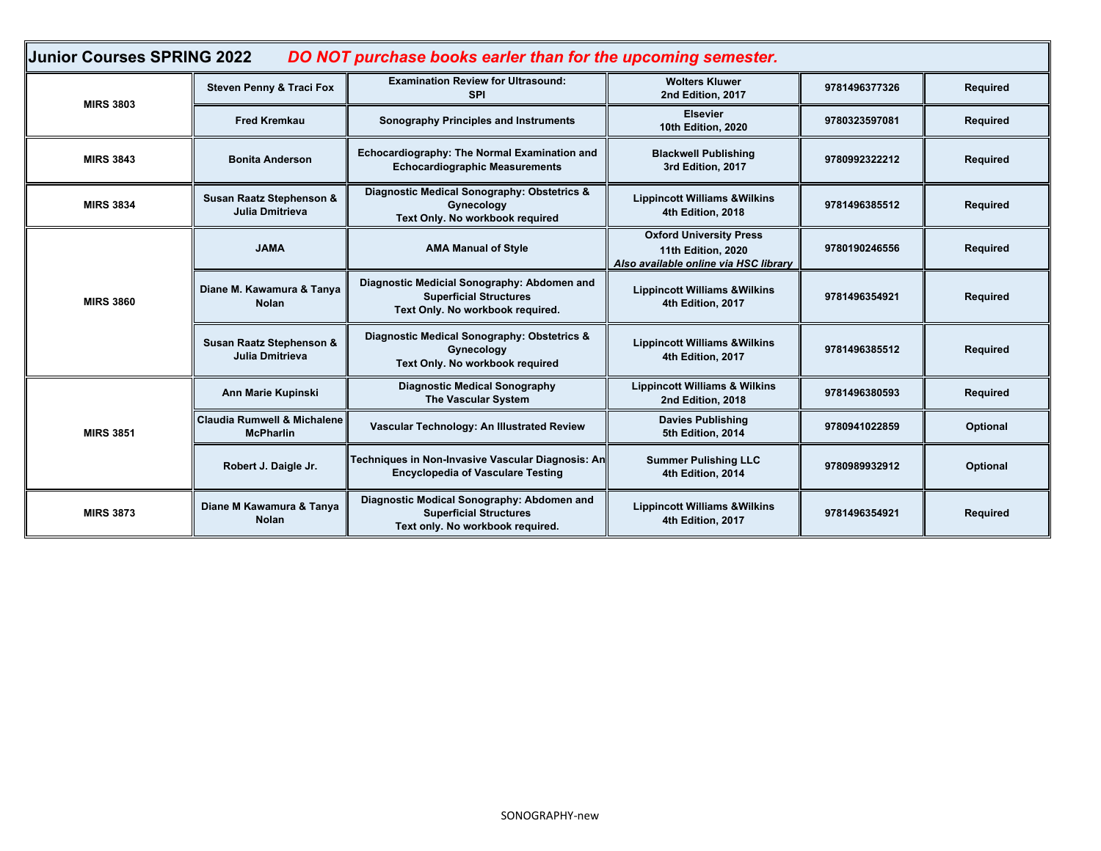| Junior Courses SPRING 2022<br>DO NOT purchase books earler than for the upcoming semester. |                                                            |                                                                                                                  |                                                                                               |               |                 |
|--------------------------------------------------------------------------------------------|------------------------------------------------------------|------------------------------------------------------------------------------------------------------------------|-----------------------------------------------------------------------------------------------|---------------|-----------------|
| <b>MIRS 3803</b>                                                                           | <b>Steven Penny &amp; Traci Fox</b>                        | <b>Examination Review for Ultrasound:</b><br><b>SPI</b>                                                          | <b>Wolters Kluwer</b><br>2nd Edition, 2017                                                    | 9781496377326 | Required        |
|                                                                                            | <b>Fred Kremkau</b>                                        | Sonography Principles and Instruments                                                                            | <b>Elsevier</b><br><b>10th Edition, 2020</b>                                                  | 9780323597081 | Required        |
| <b>MIRS 3843</b>                                                                           | <b>Bonita Anderson</b>                                     | Echocardiography: The Normal Examination and<br><b>Echocardiographic Measurements</b>                            | <b>Blackwell Publishing</b><br>3rd Edition, 2017                                              | 9780992322212 | Required        |
| <b>MIRS 3834</b>                                                                           | Susan Raatz Stephenson &<br><b>Julia Dmitrieva</b>         | Diagnostic Medical Sonography: Obstetrics &<br>Gynecology<br>Text Only. No workbook required                     | <b>Lippincott Williams &amp; Wilkins</b><br>4th Edition, 2018                                 | 9781496385512 | <b>Required</b> |
| <b>MIRS 3860</b>                                                                           | <b>JAMA</b>                                                | <b>AMA Manual of Style</b>                                                                                       | <b>Oxford University Press</b><br>11th Edition, 2020<br>Also available online via HSC library | 9780190246556 | <b>Required</b> |
|                                                                                            | Diane M. Kawamura & Tanya<br><b>Nolan</b>                  | Diagnostic Medicial Sonography: Abdomen and<br><b>Superficial Structures</b><br>Text Only. No workbook required. | <b>Lippincott Williams &amp; Wilkins</b><br>4th Edition, 2017                                 | 9781496354921 | <b>Required</b> |
|                                                                                            | Susan Raatz Stephenson &<br><b>Julia Dmitrieva</b>         | Diagnostic Medical Sonography: Obstetrics &<br>Gynecology<br>Text Only. No workbook required                     | <b>Lippincott Williams &amp; Wilkins</b><br>4th Edition, 2017                                 | 9781496385512 | Required        |
| <b>MIRS 3851</b>                                                                           | Ann Marie Kupinski                                         | <b>Diagnostic Medical Sonography</b><br><b>The Vascular System</b>                                               | <b>Lippincott Williams &amp; Wilkins</b><br>2nd Edition, 2018                                 | 9781496380593 | Required        |
|                                                                                            | <b>Claudia Rumwell &amp; Michalene</b><br><b>McPharlin</b> | Vascular Technology: An Illustrated Review                                                                       | <b>Davies Publishing</b><br>5th Edition, 2014                                                 | 9780941022859 | Optional        |
|                                                                                            | Robert J. Daigle Jr.                                       | Techniques in Non-Invasive Vascular Diagnosis: An<br><b>Encyclopedia of Vasculare Testing</b>                    | <b>Summer Pulishing LLC</b><br>4th Edition, 2014                                              | 9780989932912 | Optional        |
| <b>MIRS 3873</b>                                                                           | Diane M Kawamura & Tanya<br><b>Nolan</b>                   | Diagnostic Modical Sonography: Abdomen and<br><b>Superficial Structures</b><br>Text only. No workbook required.  | <b>Lippincott Williams &amp; Wilkins</b><br>4th Edition, 2017                                 | 9781496354921 | <b>Required</b> |